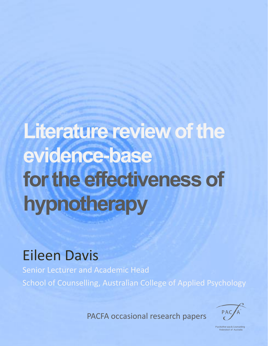# **Literature review of the evidence-base for the effectiveness of hypnotherapy**

# Eileen Davis

Senior Lecturer and Academic Head School of Counselling, Australian College of Applied Psychology

PACFA occasional research papers



ychother apy & Coun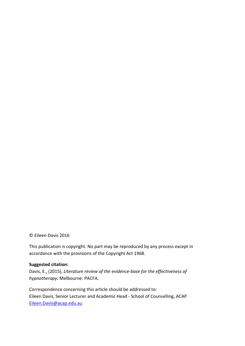© Eileen Davis 2016

This publication is copyright. No part may be reproduced by any process except in accordance with the provisions of the Copyright Act 1968.

#### **Suggested citation:**

Davis, E., (2015), *Literature review of the evidence-base for the effectiveness of hypnotherapy***.** Melbourne: PACFA.

Correspondence concerning this article should be addressed to: Eileen Davis, Senior Lecturer and Academic Head - School of Counselling, ACAP [Eileen.Davis@acap.edu.au](mailto:Eileen.Davis@acap.edu.au)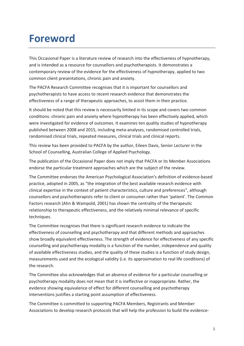### **Foreword**

This Occasional Paper is a literature review of research into the effectiveness of hypnotherapy, and is intended as a resource for counsellors and psychotherapists. It demonstrates a contemporary review of the evidence for the effectiveness of hypnotherapy, applied to two common client presentations, chronic pain and anxiety.

The PACFA Research Committee recognises that it is important for counsellors and psychotherapists to have access to recent research evidence that demonstrates the effectiveness of a range of therapeutic approaches, to assist them in their practice.

It should be noted that this review is necessarily limited in its scope and covers two common conditions: chronic pain and anxiety where hypnotherapy has been effectively applied, which were investigated for evidence of outcomes. It examines ten quality studies of hypnotherapy published between 2008 and 2015, including meta-analyses, randomised controlled trials, randomised clinical trials, repeated measures, clinical trials and clinical reports.

This review has been provided to PACFA by the author, Eileen Davis, Senior Lecturer in the School of Counselling, Australian College of Applied Psychology.

The publication of the Occasional Paper does not imply that PACFA or its Member Associations endorse the particular treatment approaches which are the subject of the review.

The Committee endorses the American Psychological Association's definition of evidence-based practice, adopted in 2005, as "the integration of the best available research evidence with clinical expertise in the context of patient characteristics, culture and preferences", although counsellors and psychotherapists refer to client or consumer rather than 'patient'. The Common Factors research (Ahn & Wampold, 2001) has shown the centrality of the therapeutic relationship to therapeutic effectiveness, and the relatively minimal relevance of specific techniques.

The Committee recognises that there is significant research evidence to indicate the effectiveness of counselling and psychotherapy and that different methods and approaches show broadly equivalent effectiveness. The strength of evidence for effectiveness of any specific counselling and psychotherapy modality is a function of the number, independence and quality of available effectiveness studies, and the quality of these studies is a function of study design, measurements used and the ecological validity (i.e. its approximation to real life conditions) of the research.

The Committee also acknowledges that an absence of evidence for a particular counselling or psychotherapy modality does not mean that it is ineffective or inappropriate. Rather, the evidence showing equivalence of effect for different counselling and psychotherapy interventions justifies a starting point assumption of effectiveness.

The Committee is committed to supporting PACFA Members, Registrants and Member Associations to develop research protocols that will help the profession to build the evidence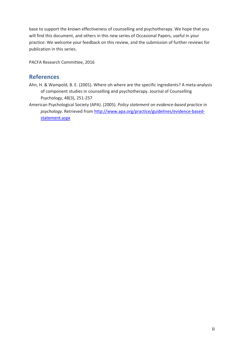base to support the known effectiveness of counselling and psychotherapy. We hope that you will find this document, and others in this new series of Occasional Papers, useful in your practice. We welcome your feedback on this review, and the submission of further reviews for publication in this series.

PACFA Research Committee, 2016

#### **References**

- Ahn, H. & Wampold, B. E. (2001). Where oh where are the specific ingredients? A meta-analysis of component studies in counselling and psychotherapy. Journal of Counselling Psychology, 48(3), 251-257
- [American Psychologica](http://www.apa.org/practice/guidelines/evidence-based-statement.aspx)l Society (APA). (2005). *Policy statement on evidence-based practice in psychology.* Retrieved from http://www.apa.org/practice/guidelines/evidence-basedstatement.aspx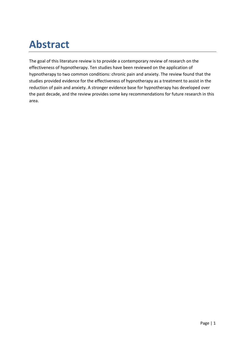# **Abstract**

The goal of this literature review is to provide a contemporary review of research on the effectiveness of hypnotherapy. Ten studies have been reviewed on the application of hypnotherapy to two common conditions: chronic pain and anxiety. The review found that the studies provided evidence for the effectiveness of hypnotherapy as a treatment to assist in the reduction of pain and anxiety. A stronger evidence base for hypnotherapy has developed over the past decade, and the review provides some key recommendations for future research in this area.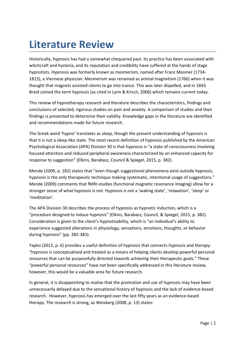## **Literature Review**

Historically, hypnosis has had a somewhat chequered past. Its practice has been associated with witchcraft and hysteria, and its reputation and credibility have suffered at the hands of stage hypnotists. Hypnosis was formerly known as mesmerism, named after Franz Mesmer (1734- 1815), a Viennese physician. Mesmerism was renamed as animal magnetism (1766) when it was thought that magnets assisted clients to go into trance. This was later dispelled, and in 1843 Braid coined the term hypnosis (as cited in Lynn & Kirsch, 2006) which remains current today.

This review of hypnotherapy research and literature describes the characteristics, findings and conclusions of selected, rigorous studies on pain and anxiety. A comparison of studies and their findings is presented to determine their validity. Knowledge gaps in the literature are identified and recommendations made for future research.

The Greek word 'hypno' translates as sleep, though the present understanding of hypnosis is that it is not a sleep-like state. The most recent definition of hypnosis published by the American Psychological Association (APA) Division 30 is that hypnosis is "a state of consciousness involving focused attention and reduced peripheral awareness characterized by an enhanced capacity for response to suggestion" (Elkins, Barabasz, Council & Spiegel, 2015, p. 382).

Mende (2009, p. 182) states that "even though suggestional phenomena exist outside hypnosis, hypnosis is the only therapeutic technique making systematic, intentional usage of suggestions." Mende (2009) comments that fMRI-studies (functional magnetic resonance imaging) allow for a stronger sense of what hypnosis is not. Hypnosis is not a 'waking state', 'relaxation', 'sleep' or 'meditation'.

The APA Division 30 describes the process of hypnosis as hypnotic induction, which is a "procedure designed to induce hypnosis" (Elkins, Barabasz, Council, & Spiegel, 2015, p. 382). Consideration is given to the client's hypnotisability, which is "an individual's ability to experience suggested alterations in physiology, sensations, emotions, thoughts, or behavior during hypnosis" (pp. 382-383).

Yapko (2012, p. 6) provides a useful definition of hypnosis that connects hypnosis and therapy: "hypnosis is conceptualized and treated as a means of helping clients develop powerful personal resources that can be purposefully directed towards achieving their therapeutic goals." These "powerful personal resources" have not been specifically addressed in this literature review, however, this would be a valuable area for future research.

In general, it is disappointing to realise that the promotion and use of hypnosis may have been unnecessarily delayed due to the sensational history of hypnosis and the lack of evidence-based research. However, hypnosis has emerged over the last fifty years as an evidence-based therapy. The research is strong, as Weisberg (2008, p. 13) states: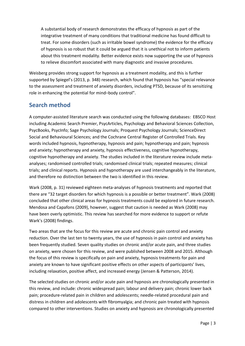A substantial body of research demonstrates the efficacy of hypnosis as part of the integrative treatment of many conditions that traditional medicine has found difficult to treat. For some disorders (such as irritable bowel syndrome) the evidence for the efficacy of hypnosis is so robust that it could be argued that it is unethical not to inform patients about this treatment modality. Better evidence exists now supporting the use of hypnosis to relieve discomfort associated with many diagnostic and invasive procedures.

Weisberg provides strong support for hypnosis as a treatment modality, and this is further supported by Spiegel's (2013, p. 348) research, which found that hypnosis has "special relevance to the assessment and treatment of anxiety disorders, including PTSD, because of its sensitizing role in enhancing the potential for mind–body control".

#### **Search method**

A computer-assisted literature search was conducted using the following databases: EBSCO Host including Academic Search Premier, PsycArticles, Psychology and Behavioral Sciences Collection, PsycBooks, PsycInfo; Sage Psychology Journals; Proquest Psychology Journals; ScienceDirect Social and Behavioural Sciences; and the Cochrane Central Register of Controlled Trials. Key words included hypnosis, hypnotherapy, hypnosis and pain; hypnotherapy and pain; hypnosis and anxiety; hypnotherapy and anxiety, hypnosis effectiveness, cognitive hypnotherapy, cognitive hypnotherapy and anxiety. The studies included in the literature review include metaanalyses; randomised controlled trials; randomised clinical trials; repeated measures; clinical trials; and clinical reports. Hypnosis and hypnotherapy are used interchangeably in the literature, and therefore no distinction between the two is identified in this review.

Wark (2008, p. 31) reviewed eighteen meta-analyses of hypnosis treatments and reported that there are "32 target disorders for which hypnosis is a possible or better treatment". Wark (2008) concluded that other clinical areas for hypnosis treatments could be explored in future research. Mendosa and Capafons (2009), however, suggest that caution is needed as Wark (2008) may have been overly optimistic. This review has searched for more evidence to support or refute Wark's (2008) findings.

Two areas that are the focus for this review are acute and chronic pain control and anxiety reduction. Over the last ten to twenty years, the use of hypnosis in pain control and anxiety has been frequently studied. Seven quality studies on chronic and/or acute pain, and three studies on anxiety, were chosen for this review, and were published between 2008 and 2015. Although the focus of this review is specifically on pain and anxiety, hypnosis treatments for pain and anxiety are known to have significant positive effects on other aspects of participants' lives, including relaxation, positive affect, and increased energy (Jensen & Patterson, 2014).

The selected studies on chronic and/or acute pain and hypnosis are chronologically presented in this review, and include: chronic widespread pain; labour and delivery pain; chronic lower back pain; procedure-related pain in children and adolescents; needle-related procedural pain and distress in children and adolescents with fibromyalgia; and chronic pain treated with hypnosis compared to other interventions. Studies on anxiety and hypnosis are chronologically presented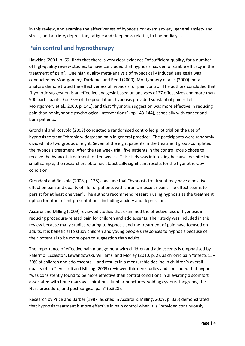in this review, and examine the effectiveness of hypnosis on: exam anxiety; general anxiety and stress; and anxiety, depression, fatigue and sleepiness relating to haemodialysis.

#### **Pain control and hypnotherapy**

Hawkins (2001, p. 69) finds that there is very clear evidence "of sufficient quality, for a number of high-quality review studies, to have concluded that hypnosis has demonstrable efficacy in the treatment of pain". One high quality meta-analysis of hypnotically induced analgesia was conducted by Montgomery, DuHamel and Redd (2000). Montgomery et al.'s (2000) metaanalysis demonstrated the effectiveness of hypnosis for pain control. The authors concluded that "hypnotic suggestion is an effective analgesic based on analyses of 27 effect sizes and more than 900 participants. For 75% of the population, hypnosis provided substantial pain relief" Montgomery et al., 2000, p. 141), and that "hypnotic suggestion was more effective in reducing pain than nonhypnotic psychological interventions" (pp.143-144), especially with cancer and burn patients.

Grondahl and Rosvold (2008) conducted a randomised controlled pilot trial on the use of hypnosis to treat "chronic widespread pain in general practice". The participants were randomly divided into two groups of eight. Seven of the eight patients in the treatment group completed the hypnosis treatment. After the ten week trial, five patients in the control group chose to receive the hypnosis treatment for ten weeks. This study was interesting because, despite the small sample, the researchers obtained statistically significant results for the hypnotherapy condition.

Grondahl and Rosvold (2008, p. 128) conclude that "hypnosis treatment may have a positive effect on pain and quality of life for patients with chronic muscular pain. The effect seems to persist for at least one year". The authors recommend research using hypnosis as the treatment option for other client presentations, including anxiety and depression.

Accardi and Milling (2009) reviewed studies that examined the effectiveness of hypnosis in reducing procedure-related pain for children and adolescents. Their study was included in this review because many studies relating to hypnosis and the treatment of pain have focused on adults. It is beneficial to study children and young people's responses to hypnosis because of their potential to be more open to suggestion than adults.

The importance of effective pain management with children and adolescents is emphasised by Palermo, Eccleston, Lewandowski, Williams, and Morley (2010, p. 2), as chronic pain "affects 15– 30% of children and adolescents…, and results in a measurable decline in children's overall quality of life". Accardi and Milling (2009) reviewed thirteen studies and concluded that hypnosis "was consistently found to be more effective than control conditions in alleviating discomfort associated with bone marrow aspirations, lumbar punctures, voiding cystourethograms, the Nuss procedure, and post-surgical pain" (p.328).

Research by Price and Barber (1987, as cited in Accardi & Milling, 2009, p. 335) demonstrated that hypnosis treatment is more effective in pain control when it is "provided continuously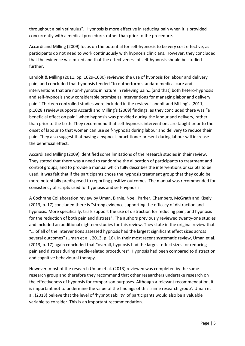throughout a pain stimulus". Hypnosis is more effective in reducing pain when it is provided concurrently with a medical procedure, rather than prior to the procedure.

Accardi and Milling (2009) focus on the potential for self-hypnosis to be very cost effective, as participants do not need to work continuously with hypnosis clinicians. However, they concluded that the evidence was mixed and that the effectiveness of self-hypnosis should be studied further.

Landolt & Milling (2011, pp. 1029-1030) reviewed the use of hypnosis for labour and delivery pain, and concluded that hypnosis tended "to outperform standard medical care and interventions that are non-hypnotic in nature in relieving pain...[and that] both hetero-hypnosis and self-hypnosis show considerable promise as interventions for managing labor and delivery pain." Thirteen controlled studies were included in the review. Landolt and Milling's (2011, p.1028 ) review supports Accardi and Milling's (2009) findings, as they concluded there was "a beneficial effect on pain" when hypnosis was provided during the labour and delivery, rather than prior to the birth. They recommend that self-hypnosis interventions are taught prior to the onset of labour so that women can use self-hypnosis during labour and delivery to reduce their pain. They also suggest that having a hypnosis practitioner present during labour will increase the beneficial effect.

Accardi and Milling (2009) identified some limitations of the research studies in their review. They stated that there was a need to randomise the allocation of participants to treatment and control groups, and to provide a manual which fully describes the interventions or scripts to be used. It was felt that if the participants chose the hypnosis treatment group that they could be more potentially predisposed to reporting positive outcomes. The manual was recommended for consistency of scripts used for hypnosis and self-hypnosis.

A Cochrane Collaboration review by Uman, Birnie, Noel, Parker, Chambers, McGrath and Kisely (2013, p. 17) concluded there is "strong evidence supporting the efficacy of distraction and hypnosis. More specifically, trials support the use of distraction for reducing pain, and hypnosis for the reduction of both pain and distress". The authors previously reviewed twenty-one studies and included an additional eighteen studies for this review. They state in the original review that "… of all of the interventions assessed hypnosis had the largest significant effect sizes across several outcomes" (Uman et al., 2013, p. 16). In their most recent systematic review, Uman et al. (2013, p. 17) again concluded that "overall, hypnosis had the largest effect sizes for reducing pain and distress during needle-related procedures". Hypnosis had been compared to distraction and cognitive behavioural therapy.

However, most of the research Uman et al. (2013) reviewed was completed by the same research group and therefore they recommend that other researchers undertake research on the effectiveness of hypnosis for comparison purposes. Although a relevant recommendation, it is important not to undermine the value of the findings of this 'same research group'. Uman et al. (2013) believe that the level of 'hypnotisability' of participants would also be a valuable variable to consider. This is an important recommendation.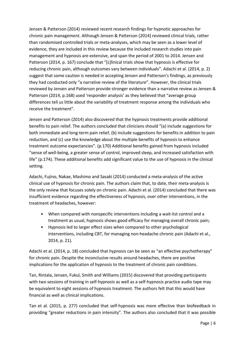Jensen & Patterson (2014) reviewed recent research findings for hypnotic approaches for chronic pain management. Although Jensen & Patterson (2014) reviewed clinical trials, rather than randomised controlled trials or meta-analyses, which may be seen as a lower level of evidence, they are included in this review because the included research studies into pain management and hypnosis are extensive, and span the period of 2001 to 2014. Jensen and Patterson (2014, p. 167) conclude that "[c]linical trials show that hypnosis is effective for reducing chronic pain, although outcomes vary between individuals". Adachi et al. (2014, p. 2) suggest that some caution is needed in accepting Jensen and Patterson's findings, as previously they had conducted only "a narrative review of the literature". However, the clinical trials reviewed by Jensen and Patterson provide stronger evidence than a narrative review as Jensen & Patterson (2014, p.168) used 'responder analysis' as they believed that "average group differences tell us little about the variability of treatment response among the individuals who receive the treatment".

Jensen and Patterson (2014) also discovered that the hypnosis treatments provide additional benefits to pain relief. The authors concluded that clinicians should "(a) include suggestions for both immediate and long-term pain relief, (b) include suggestions for benefits in addition to pain reduction, and (c) use the knowledge about the multiple benefits of hypnosis to enhance treatment outcome expectancies". (p.170) Additional benefits gained from hypnosis included "sense of well-being, a greater sense of control, improved sleep, and increased satisfaction with life" (p.174). These additional benefits add significant value to the use of hypnosis in the clinical setting.

Adachi, Fujino, Nakae, Mashimo and Sasaki (2014) conducted a meta-analysis of the active clinical use of hypnosis for chronic pain. The authors claim that, to date, their meta-analysis is the only review that focuses solely on chronic pain. Adachi et al. (2014) concluded that there was insufficient evidence regarding the effectiveness of hypnosis, over other interventions, in the treatment of headaches, however:

- When compared with nonspecific interventions including a wait-list control and a treatment as usual, hypnosis shows good efficacy for managing overall chronic pain;
- Hypnosis led to larger effect sizes when compared to other psychological interventions, including CBT, for managing non-headache chronic pain (Adachi et al., 2014, p. 21).

Adachi et al. (2014, p. 18) concluded that hypnosis can be seen as "an effective psychotherapy" for chronic pain. Despite the inconclusive results around headaches, there are positive implications for the application of hypnosis to the treatment of chronic pain conditions.

Tan, Rintala, Jensen, Fukul, Smith and Williams (2015) discovered that providing participants with two sessions of training in self-hypnosis as well as a self-hypnosis practice audio tape may be equivalent to eight sessions of hypnosis treatment. The authors felt that this would have financial as well as clinical implications.

Tan et al. (2015, p. 277) concluded that self-hypnosis was more effective than biofeedback in providing "greater reductions in pain intensity". The authors also concluded that it was possible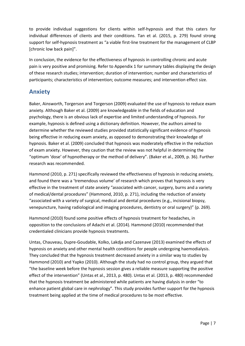to provide individual suggestions for clients within self-hypnosis and that this caters for individual differences of clients and their conditions. Tan et al. (2015, p. 279) found strong support for self-hypnosis treatment as "a viable first-line treatment for the management of CLBP [chronic low back pain]".

In conclusion, the evidence for the effectiveness of hypnosis in controlling chronic and acute pain is very positive and promising. Refer to Appendix 1 for summary tables displaying the design of these research studies; intervention; duration of intervention; number and characteristics of participants; characteristics of intervention; outcome measures; and intervention effect size.

#### **Anxiety**

Baker, Ainsworth, Torgerson and Torgerson (2009) evaluated the use of hypnosis to reduce exam anxiety. Although Baker et al. (2009) are knowledgeable in the fields of education and psychology, there is an obvious lack of expertise and limited understanding of hypnosis. For example, hypnosis is defined using a dictionary definition. However, the authors aimed to determine whether the reviewed studies provided statistically significant evidence of hypnosis being effective in reducing exam anxiety, as opposed to demonstrating their knowledge of hypnosis. Baker et al. (2009) concluded that hypnosis was moderately effective in the reduction of exam anxiety. However, they caution that the review was not helpful in determining the "optimum 'dose' of hypnotherapy or the method of delivery". (Baker et al., 2009, p. 36). Further research was recommended.

Hammond (2010, p. 271) specifically reviewed the effectiveness of hypnosis in reducing anxiety, and found there was a 'tremendous volume' of research which proves that hypnosis is very effective in the treatment of state anxiety "associated with cancer, surgery, burns and a variety of medical/dental procedures" (Hammond, 2010, p. 271), including the reduction of anxiety "associated with a variety of surgical, medical and dental procedures (e.g., incisional biopsy, venepuncture, having radiological and imaging procedures, dentistry or oral surgery)" (p. 269).

Hammond (2010) found some positive effects of hypnosis treatment for headaches, in opposition to the conclusions of Adachi et al. (2014). Hammond (2010) recommended that credentialed clinicians provide hypnosis treatments.

Untas, Chauveau, Dupre-Goudable, Kolko, Lakdja and Cazenave (2013) examined the effects of hypnosis on anxiety and other mental health conditions for people undergoing haemodialysis. They concluded that the hypnosis treatment decreased anxiety in a similar way to studies by Hammond (2010) and Yapko (2010). Although the study had no control group, they argued that "the baseline week before the hypnosis session gives a reliable measure supporting the positive effect of the intervention" (Untas et al., 2013, p. 480). Untas et al. (2013, p. 480) recommended that the hypnosis treatment be administered while patients are having dialysis in order "to enhance patient global care in nephrology". This study provides further support for the hypnosis treatment being applied at the time of medical procedures to be most effective.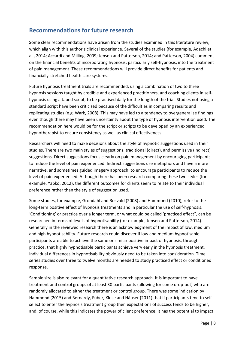#### **Recommendations for future research**

Some clear recommendations have arisen from the studies examined in this literature review, which align with this author's clinical experience. Several of the studies (for example, Adachi et al., 2014; Accardi and Milling, 2009; Jensen and Patterson, 2014; and Patterson, 2004) comment on the financial benefits of incorporating hypnosis, particularly self-hypnosis, into the treatment of pain management. These recommendations will provide direct benefits for patients and financially stretched health care systems.

Future hypnosis treatment trials are recommended, using a combination of two to three hypnosis sessions taught by credible and experienced practitioners, and coaching clients in selfhypnosis using a taped script, to be practised daily for the length of the trial. Studies not using a standard script have been criticised because of the difficulties in comparing results and replicating studies (e.g. Wark, 2008). This may have led to a tendency to overgeneralise findings even though there may have been uncertainty about the type of hypnosis intervention used. The recommendation here would be for the script or scripts to be developed by an experienced hypnotherapist to ensure consistency as well as clinical effectiveness.

Researchers will need to make decisions about the style of hypnotic suggestions used in their studies. There are two main styles of suggestions, traditional (direct), and permissive (indirect) suggestions. Direct suggestions focus clearly on pain management by encouraging participants to reduce the level of pain experienced. Indirect suggestions use metaphors and have a more narrative, and sometimes guided imagery approach, to encourage participants to reduce the level of pain experienced. Although there has been research comparing these two styles (for example, Yapko, 2012), the different outcomes for clients seem to relate to their individual preference rather than the style of suggestion used.

Some studies, for example, Grondahl and Rosvold (2008) and Hammond (2010), refer to the long-term positive effect of hypnosis treatments and in particular the use of self-hypnosis. 'Conditioning' or practice over a longer term, or what could be called 'practiced effect", can be researched in terms of levels of hypnotisability (for example, Jensen and Patterson, 2014). Generally in the reviewed research there is an acknowledgment of the impact of low, medium and high hypnotisability. Future research could discover if low and medium hypnotisable participants are able to achieve the same or similar positive impact of hypnosis, through practice, that highly hypnotisable participants achieve very early in the hypnosis treatment. Individual differences in hypnotisability obviously need to be taken into consideration. Time series studies over three to twelve months are needed to study practiced effect or conditioned response.

Sample size is also relevant for a quantitative research approach. It is important to have treatment and control groups of at least 30 participants (allowing for some drop-out) who are randomly allocated to either the treatment or control group. There was some indication by Hammond (2015) and Bernardy, Füber, Klose and Häuser (2011) that if participants tend to selfselect to enter the hypnosis treatment group then expectations of success tends to be higher, and, of course, while this indicates the power of client preference, it has the potential to impact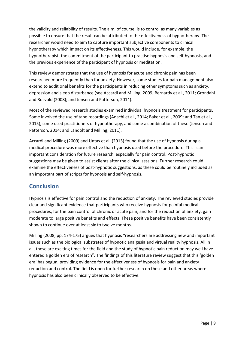the validity and reliability of results. The aim, of course, is to control as many variables as possible to ensure that the result can be attributed to the effectiveness of hypnotherapy. The researcher would need to aim to capture important subjective components to clinical hypnotherapy which impact on its effectiveness. This would include, for example, the hypnotherapist, the commitment of the participant to practise hypnosis and self-hypnosis, and the previous experience of the participant of hypnosis or meditation.

This review demonstrates that the use of hypnosis for acute and chronic pain has been researched more frequently than for anxiety. However, some studies for pain management also extend to additional benefits for the participants in reducing other symptoms such as anxiety, depression and sleep disturbance (see Accardi and Milling, 2009; Bernardy et al., 2011; Grondahl and Rosvold (2008); and Jensen and Patterson, 2014).

Most of the reviewed research studies examined individual hypnosis treatment for participants. Some involved the use of tape recordings (Adachi et al., 2014; Baker et al., 2009; and Tan et al., 2015), some used practitioners of hypnotherapy, and some a combination of these (Jensen and Patterson, 2014; and Landolt and Milling, 2011).

Accardi and Milling (2009) and Untas et al. (2013) found that the use of hypnosis during a medical procedure was more effective than hypnosis used before the procedure. This is an important consideration for future research, especially for pain control. Post-hypnotic suggestions may be given to assist clients after the clinical sessions. Further research could examine the effectiveness of post-hypnotic suggestions, as these could be routinely included as an important part of scripts for hypnosis and self-hypnosis.

#### **Conclusion**

Hypnosis is effective for pain control and the reduction of anxiety. The reviewed studies provide clear and significant evidence that participants who receive hypnosis for painful medical procedures, for the pain control of chronic or acute pain, and for the reduction of anxiety, gain moderate to large positive benefits and effects. These positive benefits have been consistently shown to continue over at least six to twelve months.

Milling (2008, pp. 174-175) argues that hypnosis "researchers are addressing new and important issues such as the biological substrates of hypnotic analgesia and virtual reality hypnosis. All in all, these are exciting times for the field and the study of hypnotic pain reduction may well have entered a golden era of research". The findings of this literature review suggest that this 'golden era' has begun, providing evidence for the effectiveness of hypnosis for pain and anxiety reduction and control. The field is open for further research on these and other areas where hypnosis has also been clinically observed to be effective.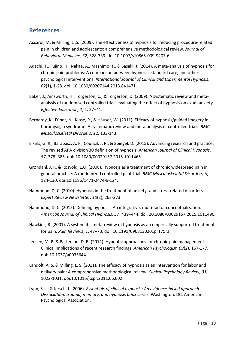#### **References**

- Accardi, M. & Milling, L .S. (2009). The effectiveness of hypnosis for reducing procedure-related pain in children and adolescents: a comprehensive methodological review. *Journal of Behavioral Medicine, 32,* 328-339. doi 10.1007/s10865-009-9207-6.
- Adachi, T., Fujino, H., Nakae, A., Mashimo, T., & Sasaki, J. (2014). A meta-analysis of hypnosis for chronic pain problems: A comparison between hypnosis, standard care, and other psychological interventions. *International Journal of Clinical and Experimental Hypnosis*, *62*(1), 1-28. doi: 10.1080/00207144.2013.841471.
- Baker, J., Ainsworth, H., Torgerson, C., & Torgerson, D. (2009). A systematic review and metaanalysis of randomised controlled trials evaluating the effect of hypnosis on exam anxiety. *Effective Education, 1*, 1, 27–41.
- Bernardy, K., Füber, N., Klose, P., & Häuser, W. (2011). Efficacy of hypnosis/guided imagery in fibromyalgia syndrome: A systematic review and meta-analysis of controlled trials. *BMC Musculoskeletal Disorders, 12,* 133-143.
- Elkins, G. R., Barabasz, A. F., Council, J. R., & Spiegel, D. (2015). Advancing research and practice: The revised APA division 30 definition of hypnosis. *American Journal of Clinical Hypnosis*, *57*, 378–385. doi: 10.1080/00029157.2015.1011465.
- Grøndahl, J. R. & Rosvold, E.O. (2008). Hypnosis as a treatment of chronic widespread pain in general practice: A randomized controlled pilot trial. *BMC Musculoskeletal Disorders, 9,* 124-130. doi:10.1186/1471-2474-9-124.
- Hammond, D. C. (2010). Hypnosis in the treatment of anxiety- and stress-related disorders. *Expert Review Newsletter, 10*(2), 263-273.
- Hammond, D. C. (2015). Defining hypnosis: An integrative, multi-factor conceptualization. *American Journal of Clinical Hypnosis*, *57*: 439–444. doi: 10.1080/00029157.2015.1011496.
- Hawkins, R. (2001). A systematic meta-review of hypnosis as an empirically supported treatment for pain. *Pain Reviews*, *1*, 47–73. doi: 10.1191/0968130201pr175ra.
- Jensen, M. P. & Patterson, D. R. (2014). Hypnotic approaches for chronic pain management: Clinical implications of recent research findings. *American Psychologist, 69*(2), 167-177. doi: 10.1037/a0035644.
- Landolt, A. S. & Milling, L. S. (2011). The efficacy of hypnosis as an intervention for labor and delivery pain: A comprehensive methodological review. *Clinical Psychology Review, 31,* 1022-1031. doi:10.1016/j.cpr.2011.06.002.
- Lynn, S. J. & Kirsch, I. (2006). *Essentials of clinical hypnosis: An evidence-based approach. Dissociation, trauma, memory, and hypnosis book series.* Washington, DC: American Psychological Association.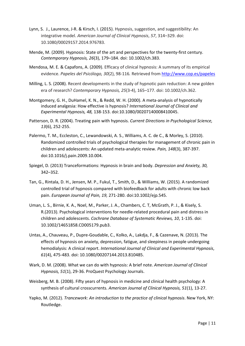- Lynn, S. J., Laurence, J-R. & Kirsch, I. (2015). Hypnosis, suggestion, and suggestibility: An integrative model. *American Journal of Clinical Hypnosis*, *57*, 314–329. doi: 10.1080/00029157.2014.976783.
- Mende, M. (2009). Hypnosis: State of the art and perspectives for the twenty-first century. *Contemporary Hypnosis, 26*(3), 179–184. doi: 10.1002/ch.383.
- Mendosa, M. E. & Capafons, A. (2009). Efficacy of clinical hypnosis: A summary of its empirical evidence. *Papeles del Psicólogo, 30*(2), 98-116*.* Retrieved from<http://www.cop.es/papeles>
- Milling, L. S. (2008). Recent developments in the study of hypnotic pain reduction: A new golden era of research? *Contemporary Hypnosis, 25*(3-4), 165–177. doi: 10.1002/ch.362.
- Montgomery, G. H., DuHamel, K. N., & Redd, W. H. (2000). A meta-analysis of hypnotically induced analgesia: How effective is hypnosis? *International Journal of Clinical and Experimental Hypnosis, 48,* 138-153. doi:10.1080/00207140008410045.
- Patterson, D. R. (2004). Treating pain with hypnosis. *Current Directions in Psychological Science, 13*(6), 252-255.
- Palermo, T. M., Eccleston, C., Lewandowski, A. S., Williams, A. C. de C., & Morley, S. (2010). Randomized controlled trials of psychological therapies for management of chronic pain in children and adolescents: An updated meta-analytic review. *Pain, 148*(3), 387-397. doi:10.1016/j.pain.2009.10.004.
- Spiegel, D. (2013) Tranceformations: Hypnosis in brain and body. *Depression and Anxiety, 30,* 342–352*.*
- Tan, G., Rintala, D. H., Jensen, M. P., Fukul, T., Smith, D., & Williams, W. (2015). A randomized controlled trial of hypnosis compared with biofeedback for adults with chronic low back pain. *European Journal of Pain, 19,* 271-280. doi:10.1002/ejp.545.
- Uman, L. S., Birnie, K. A., Noel, M., Parker, J. A., Chambers, C. T, McGrath, P. J., & Kisely, S. R.(2013). Psychological interventions for needle-related procedural pain and distress in children and adolescents. *Cochrane Database of Systematic Reviews, 10*, 1-135. doi: 10.1002/14651858.CD005179.pub3.
- Untas, A., Chauveau, P., Dupre-Goudable, C., Kolko, A., Lakdja, F., & Cazenave, N. (2013). The effects of hypnosis on anxiety, depression, fatigue, and sleepiness in people undergoing hemodialysis: A clinical report. *International Journal of Clinical and Experimental Hypnosis*, *61*(4), 475-483. doi: 10.1080/00207144.2013.810485.
- Wark, D. M. (2008). What we can do with hypnosis: A brief note. *American Journal of Clinical Hypnosis, 51*(1), 29-36. ProQuest Psychology Journals.
- Weisberg, M. B. (2008). Fifty years of hypnosis in medicine and clinical health psychology: A synthesis of cultural crosscurrents. *American Journal of Clinical Hypnosis, 51*(1), 13-27.
- Yapko, M. (2012). *Trancework: An introduction to the practice of clinical hypnosis*. New York, NY: Routledge.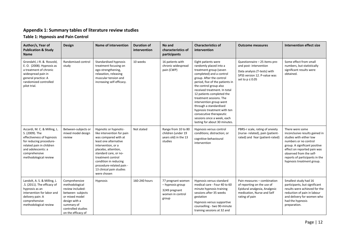#### **Appendix 1: Summary tables of literature review studies**

**Table 1: Hypnosis and Pain Control**

| Author/s, Year of<br><b>Publication &amp; Study</b><br><b>Name</b>                                                                                                                                 | Design                                                                                                                                                                | <b>Name of intervention</b>                                                                                                                                                                                                                                                                     | <b>Duration of</b><br>intervention | No and<br>characteristics of<br>participants                                        | <b>Characteristics of</b><br>intervention                                                                                                                                                                                                                                                                                                                                                                                                                          | <b>Outcome measures</b>                                                                                                                        | <b>Intervention effect size</b>                                                                                                                                                                                                                                 |
|----------------------------------------------------------------------------------------------------------------------------------------------------------------------------------------------------|-----------------------------------------------------------------------------------------------------------------------------------------------------------------------|-------------------------------------------------------------------------------------------------------------------------------------------------------------------------------------------------------------------------------------------------------------------------------------------------|------------------------------------|-------------------------------------------------------------------------------------|--------------------------------------------------------------------------------------------------------------------------------------------------------------------------------------------------------------------------------------------------------------------------------------------------------------------------------------------------------------------------------------------------------------------------------------------------------------------|------------------------------------------------------------------------------------------------------------------------------------------------|-----------------------------------------------------------------------------------------------------------------------------------------------------------------------------------------------------------------------------------------------------------------|
| Grondahl, J R. & Rosvold,<br>E. O. (2008). Hypnosis as<br>a treatment of chronic<br>widespread pain in<br>general practice: A<br>randomized controlled<br>pilot trial.                             | Randomised control<br>study                                                                                                                                           | Standardised hypnosis<br>treatment focusing on<br>ego-strengthening,<br>relaxation, releasing<br>muscular tension and<br>increasing self-efficacy.                                                                                                                                              | 10 weeks                           | 16 patients with<br>chronic widespread<br>pain (CWP)                                | Eight patients were<br>randomly placed into a<br>treatment group (seven<br>completed) and a control<br>group. After the control<br>period, five of the patients in<br>the control group also<br>received treatment. In total<br>12 patients completed the<br>treatment sessions. The<br>intervention group went<br>through a standardised<br>hypnosis treatment with ten<br>consecutive therapeutic<br>sessions once a week, each<br>lasting for about 30 minutes. | Questionnaire - 25 items pre-<br>and post-intervention<br>Data analysis (T-tests) with<br>SPSS version 12. P-value was<br>set to $p \leq 0.05$ | Some effect from small<br>numbers, but statistically<br>significant results were<br>obtained.                                                                                                                                                                   |
| Accardi, M. C. & Milling, L.<br>S. (2009). The<br>effectiveness of hypnosis<br>for reducing procedure-<br>related pain in children<br>and adolescents: a<br>comprehensive<br>methodological review | Between-subjects or<br>mixed model design<br>review                                                                                                                   | Hypnotic or hypnotic-<br>like intervention for pain<br>was compared with at<br>least one alternative<br>intervention, or a<br>placebo, attention,<br>standard care, or no-<br>treatment control<br>condition in reducing<br>procedure-related pain -<br>13 clinical pain studies<br>were chosen | Not stated                         | Range from 10 to 80<br>children (under 19<br>years old) in the 13<br>studies        | Hypnosis versus control<br>conditions; distraction; or<br>cognitive-behavioural<br>intervention                                                                                                                                                                                                                                                                                                                                                                    | PBRS-r scale, rating of anxiety<br>(nurse- related), pain (patient-<br>rated) and fear (patient-rated)                                         | There were some<br>inconclusive results gained in<br>studies with either low<br>numbers or no control<br>group. A significant positive<br>effect on reported pain was<br>observed from the self-<br>reports of participants in the<br>hypnosis treatment group. |
| Landolt, A. S. & Milling, L<br>.S. (2011). The efficacy of<br>hypnosis as an<br>intervention for labor and<br>delivery pain: A<br>comprehensive<br>methodological review                           | Comprehensive<br>methodological<br>review included:<br>between- subjects<br>or mixed model<br>design with a<br>summary of<br>controlled studies<br>on the efficacy of | Hypnosis                                                                                                                                                                                                                                                                                        | 160-240 hours                      | 77 pregnant women<br>- hypnosis group<br>3249 pregnant<br>women in control<br>group | Hypnosis versus standard<br>medical care - Four 40 to 60<br>minute hypnosis training<br>sessions after 35 weeks<br>gestation<br>Hypnosis versus supportive<br>counselling - two 90-minute<br>training sessions at 32 and                                                                                                                                                                                                                                           | Pain measures - combination<br>of reporting on the use of<br>Epidural analgesia, Analgesic<br>medication, Nurse and Self<br>rating of pain     | Smallest study had 16<br>participants, but significant<br>results were achieved for the<br>reduction of pain in labour<br>and delivery for women who<br>had the hypnosis<br>preparation.                                                                        |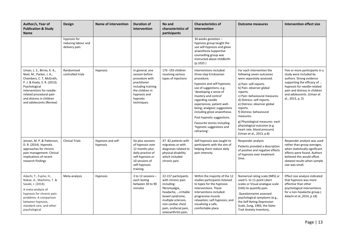| Author/s, Year of<br><b>Publication &amp; Study</b><br><b>Name</b>                                                                                                                                                                                    | Design                                                | <b>Name of intervention</b>    | <b>Duration of</b><br>intervention                                                                                                                      | No and<br>characteristics of<br>participants                                                                                                                                                                   | <b>Characteristics of</b><br>intervention                                                                                                                                                                                                                                                                                                                                                               | <b>Outcome measures</b>                                                                                                                                                                                                                                                                                                                                                                                                                | <b>Intervention effect size</b>                                                                                                                                                                                                     |
|-------------------------------------------------------------------------------------------------------------------------------------------------------------------------------------------------------------------------------------------------------|-------------------------------------------------------|--------------------------------|---------------------------------------------------------------------------------------------------------------------------------------------------------|----------------------------------------------------------------------------------------------------------------------------------------------------------------------------------------------------------------|---------------------------------------------------------------------------------------------------------------------------------------------------------------------------------------------------------------------------------------------------------------------------------------------------------------------------------------------------------------------------------------------------------|----------------------------------------------------------------------------------------------------------------------------------------------------------------------------------------------------------------------------------------------------------------------------------------------------------------------------------------------------------------------------------------------------------------------------------------|-------------------------------------------------------------------------------------------------------------------------------------------------------------------------------------------------------------------------------------|
|                                                                                                                                                                                                                                                       | hypnosis for<br>reducing labour and<br>delivery pain. |                                |                                                                                                                                                         |                                                                                                                                                                                                                | 34 weeks gestation -<br>hypnosis group taught the<br>use self-hypnosis and glove<br>anaesthesia Supportive<br>counselling group was<br>instructed about childbirth.<br>(p.1025)                                                                                                                                                                                                                         |                                                                                                                                                                                                                                                                                                                                                                                                                                        |                                                                                                                                                                                                                                     |
| Uman, L. S., Birnie, K. A.,<br>Noel, M., Parker, J. A.,<br>Chambers, C. T, McGrath,<br>P. J. & Kisely, S. R. (2013).<br>Psychological<br>interventions for needle-<br>related procedural pain<br>and distress in children<br>and adolescents (Review) | Randomised<br>controlled trials                       | Hypnosis                       | In general, one<br>session before<br>procedure with<br>practitioner<br>including training<br>the children in<br>hypnosis and<br>hypnotic<br>techniques. | 176 - 193 children<br>receiving various<br>types of injections                                                                                                                                                 | Interventions included:<br>three-step Ericksonian<br>procedure;<br>hypnosis and self-hypnosis;<br>use of suggestions, e.g.<br>'developing a sense of<br>mastery and control'<br>regarding needle<br>experiences; patient well-<br>being; analgesic suggestions<br>including glove anaesthesia.<br>Post-hypnotic suggestions.<br>Favourite stories including<br>'hypnotic suggestions and<br>reframing'. | For each intervention the<br>following seven outcomes<br>were separately assessed.<br>a) Pain: self-reports.<br>b) Pain: observer global<br>reports.<br>c) Pain: behavioural measures.<br>d) Distress: self-reports.<br>e) Distress: observer global<br>reports.<br>f) Distress: behavioural<br>measures.<br>g) Physiological measures: each<br>physiological outcome (e.g.<br>heart rate, blood pressure)<br>(Uman et al., 2013, p.8) | Five or more participants in a<br>study were included by<br>authors. Strong evidence<br>supporting the efficacy of<br>hypnosis for needle-related<br>pain and distress in children<br>and adolescents. (Uman et<br>al., 2013, p. 2) |
| Jensen, M. P. & Patterson,<br>D. R. (2014). Hypnotic<br>approaches for chronic<br>pain management: Clinical<br>implications of recent<br>research findings                                                                                            | <b>Clinical Trials</b>                                | Hypnosis and self-<br>hypnosis | Six plus sessions<br>of hypnosis over<br>12 months plus<br>daily practice of<br>self-hypnosis or<br>10 sessions of<br>self-hypnosis<br>training.        | 47-82 patients with<br>migraines or with<br>diagnoses related to<br>physical disability<br>which included<br>chronic pain                                                                                      | Self-hypnosis was taught to<br>participants with the aim of<br>helping them reduce daily<br>pain intensity.                                                                                                                                                                                                                                                                                             | Responder analysis<br>Patients provided a description<br>of positive and negative effects<br>of hypnosis over treatment<br>time.                                                                                                                                                                                                                                                                                                       | Responder analysis was used<br>rather than group averages,<br>when statistically significant<br>effects were found. Authors<br>believed this would offset<br>skewed results when sample<br>size was small.                          |
| Adachi, T., Fujino, H.,<br>Nakae, A., Mashimo, T. &<br>Sasaki, J. (2014).<br>A meta-analysis of<br>hypnosis for chronic pain<br>problems: A comparison<br>between hypnosis,<br>standard care, and other<br>psychological                              | Meta-analysis                                         | Hypnosis                       | 3 to 12 sessions -<br>each lasting<br>between 30 to 90<br>minutes                                                                                       | 22-157 participants<br>with chronic pain<br>including:<br>fibromyalgia,<br>headache, irritable<br>bowel syndrome,<br>multiple sclerosis,<br>non-cardiac chest<br>pain, orofacial pain,<br>osteoarthritis pain, | Within the majority of the 12<br>studies participants listened<br>to tapes for the hypnosis<br>interventions. These<br>interventions included:<br>progressive muscle<br>relaxation; self-hypnosis; and<br>visualising a safe,<br>comfortable place.                                                                                                                                                     | Numerical rating scale (NRS) or<br>used 5- to 11-point Likert<br>scales or Visual analogue scale<br>(VAS) to quantify pain.<br>Questionnaires assessed<br>psychological symptoms (e.g.,<br>the Self-Rating Depression<br>Scale, Zung, 1965; the State-<br>Trait Anxiety Inventory,                                                                                                                                                     | Effect size analysis indicated<br>that hypnosis was more<br>effective than other<br>psychological interventions<br>for a non-headache group.(<br>Adachi et al., 2014, p.18)                                                         |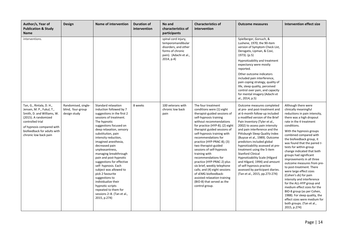| Author/s, Year of<br><b>Publication &amp; Study</b><br>Name                                                                                                                                                          | Design                                                   | <b>Name of intervention</b>                                                                                                                                                                                                                                                                                                                                                                                                                                                                                                                                                      | <b>Duration of</b><br>intervention | No and<br>characteristics of<br>participants                                                                                 | <b>Characteristics of</b><br>intervention                                                                                                                                                                                                                                                                                                                                                                                                                                                                                                                                                      | <b>Outcome measures</b>                                                                                                                                                                                                                                                                                                                                                                                                                                                                                                                                                                                    | <b>Intervention effect size</b>                                                                                                                                                                                                                                                                                                                                                                                                                                                                                                                                                                                                                                                                                                           |
|----------------------------------------------------------------------------------------------------------------------------------------------------------------------------------------------------------------------|----------------------------------------------------------|----------------------------------------------------------------------------------------------------------------------------------------------------------------------------------------------------------------------------------------------------------------------------------------------------------------------------------------------------------------------------------------------------------------------------------------------------------------------------------------------------------------------------------------------------------------------------------|------------------------------------|------------------------------------------------------------------------------------------------------------------------------|------------------------------------------------------------------------------------------------------------------------------------------------------------------------------------------------------------------------------------------------------------------------------------------------------------------------------------------------------------------------------------------------------------------------------------------------------------------------------------------------------------------------------------------------------------------------------------------------|------------------------------------------------------------------------------------------------------------------------------------------------------------------------------------------------------------------------------------------------------------------------------------------------------------------------------------------------------------------------------------------------------------------------------------------------------------------------------------------------------------------------------------------------------------------------------------------------------------|-------------------------------------------------------------------------------------------------------------------------------------------------------------------------------------------------------------------------------------------------------------------------------------------------------------------------------------------------------------------------------------------------------------------------------------------------------------------------------------------------------------------------------------------------------------------------------------------------------------------------------------------------------------------------------------------------------------------------------------------|
| interventions.                                                                                                                                                                                                       |                                                          |                                                                                                                                                                                                                                                                                                                                                                                                                                                                                                                                                                                  |                                    | spinal cord injury,<br>temporomandibular<br>disorders, and other<br>forms of chronic<br>pain). (Adachi et al.,<br>2014, p.4) |                                                                                                                                                                                                                                                                                                                                                                                                                                                                                                                                                                                                | Spielberger, Gorsuch, &<br>Lushene, 1970; the 90-item<br>version of Symptom Check List,<br>Derogatis, Lipman, & Covi,<br>1973). (p.5)<br>Hypnotizability and treatment<br>expectancy were mostly<br>reported.<br>Other outcome indicators<br>included pain interference,<br>pain coping strategy, quality of<br>life, sleep quality, perceived<br>control over pain, and capacity<br>for mental imagery (Adachi et<br>al., 2014, p.5)                                                                                                                                                                      |                                                                                                                                                                                                                                                                                                                                                                                                                                                                                                                                                                                                                                                                                                                                           |
| Tan, G., Rintala, D. H.,<br>Jensen, M. P., Fukul, T.,<br>Smith, D. and Williams, W.<br>(2015). A randomized<br>controlled trial<br>of hypnosis compared with<br>biofeedback for adults with<br>chronic low back pain | Randomised, single-<br>blind, four-group<br>design study | Standard relaxation<br>induction followed by 7<br>suggestions in the first 2<br>sessions of treatment.<br>The hypnotic<br>suggestions focused on<br>deep relaxation, sensory<br>substitution, pain<br>intensity reduction,<br>imagined anesthesia,<br>decreased pain<br>unpleasantness,<br>managing breakthrough<br>pain and post-hypnotic<br>suggestions for effective<br>self- hypnosis. Each<br>subject was allowed to<br>pick 2 favourite<br>suggestions to<br>individualize their<br>hypnotic scripts<br>repeated to them for<br>sessions 2-8. (Tan et al.,<br>2015, p.274) | 8 weeks                            | 100 veterans with<br>chronic low back<br>pain                                                                                | The four treatment<br>conditions were (1) eight<br>therapist-guided sessions of<br>self-hypnosis training<br>without recommendations<br>for practice (HYP-8); (2) eight<br>therapist guided sessions of<br>self-hypnosis training with<br>recommendations for<br>practice (HYP-PRAC-8); (3)<br>two therapist-guided<br>sessions of self-hypnosis<br>training with<br>recommendations for<br>practice (HYP-PRAC-2) plus<br>six brief, weekly telephone<br>calls; and (4) eight sessions<br>of sEMG biofeedback-<br>assisted relaxation training<br>(BIO-8) that served as the<br>control group. | Outcome measures completed<br>at pre- and post-treatment and<br>at 6-month follow-up included<br>a modified version of the Brief<br>Pain Inventory (Tyler et al.,<br>2002) to assess pain intensity<br>and pain interference and the<br>Pittsburgh Sleep Quality Index<br>(Buysse et al., 1989). Outcome<br>predictors included global<br>hypnotizability assessed at pre-<br>treatment using the 5-item<br><b>Stanford Clinical</b><br>Hypnotizability Scale (Hilgard<br>and Hilgard, 1994) and amount<br>of self-hypnosis practice<br>assessed by participant diaries.<br>(Tan et al., 2015, pp.273-274) | Although there were<br>clinically meaningful<br>reductions in pain intensity,<br>there was a high dropout<br>rate in the 4 treatment<br>conditions.<br>With the hypnosis groups<br>combined compared with<br>the biofeedback group, it<br>was found that the paired t-<br>tests for within-group<br>change indicated that both<br>groups had significant<br>improvements in all three<br>outcome measures from pre-<br>to post-treatment. There<br>were large effect sizes<br>(Cohen's ds) for pain<br>intensity and interference<br>for the ALL-HYP group and<br>medium effect sizes for the<br>BIO-8 group (as per Cohen,<br>1988). For sleep quality, the<br>effect sizes were medium for<br>both groups. (Tan et al.,<br>2015, p.274) |